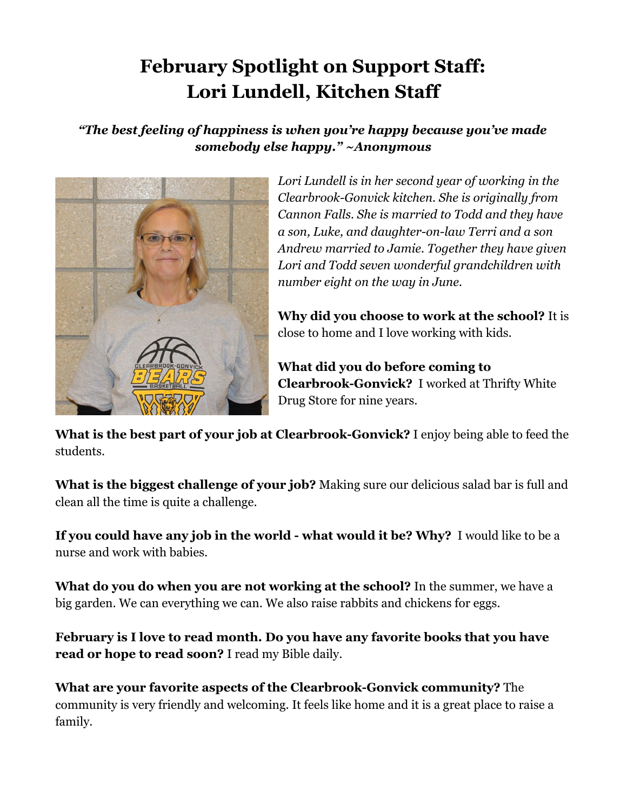## **February Spotlight on Support Staff: Lori Lundell, Kitchen Staff**

## *"The best feeling of happiness is when you're happy because you've made somebody else happy." ~Anonymous*



*Lori Lundell is in her second year of working in the Clearbrook-Gonvick kitchen. She is originally from Cannon Falls. She is married to Todd and they have a son, Luke, and daughter-on-law Terri and a son Andrew married to Jamie. Together they have given Lori and Todd seven wonderful grandchildren with number eight on the way in June.*

**Why did you choose to work at the school?** It is close to home and I love working with kids.

**What did you do before coming to Clearbrook-Gonvick?** I worked at Thrifty White Drug Store for nine years.

**What is the best part of your job at Clearbrook-Gonvick?** I enjoy being able to feed the students.

**What is the biggest challenge of your job?** Making sure our delicious salad bar is full and clean all the time is quite a challenge.

**If you could have any job in the world - what would it be? Why?**  I would like to be a nurse and work with babies.

**What do you do when you are not working at the school?** In the summer, we have a big garden. We can everything we can. We also raise rabbits and chickens for eggs.

**February is I love to read month. Do you have any favorite books that you have read or hope to read soon?** I read my Bible daily.

**What are your favorite aspects of the Clearbrook-Gonvick community?** The community is very friendly and welcoming. It feels like home and it is a great place to raise a family.